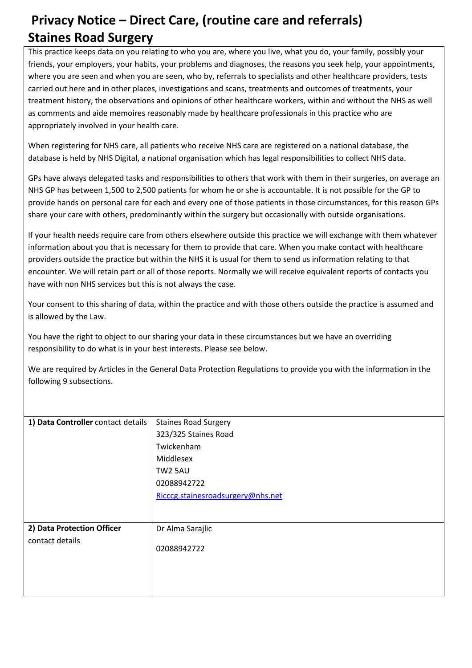## **Privacy Notice – Direct Care, (routine care and referrals) Staines Road Surgery**

This practice keeps data on you relating to who you are, where you live, what you do, your family, possibly your friends, your employers, your habits, your problems and diagnoses, the reasons you seek help, your appointments, where you are seen and when you are seen, who by, referrals to specialists and other healthcare providers, tests carried out here and in other places, investigations and scans, treatments and outcomes of treatments, your treatment history, the observations and opinions of other healthcare workers, within and without the NHS as well as comments and aide memoires reasonably made by healthcare professionals in this practice who are appropriately involved in your health care.

When registering for NHS care, all patients who receive NHS care are registered on a national database, the database is held by NHS Digital, a national organisation which has legal responsibilities to collect NHS data.

GPs have always delegated tasks and responsibilities to others that work with them in their surgeries, on average an NHS GP has between 1,500 to 2,500 patients for whom he or she is accountable. It is not possible for the GP to provide hands on personal care for each and every one of those patients in those circumstances, for this reason GPs share your care with others, predominantly within the surgery but occasionally with outside organisations.

If your health needs require care from others elsewhere outside this practice we will exchange with them whatever information about you that is necessary for them to provide that care. When you make contact with healthcare providers outside the practice but within the NHS it is usual for them to send us information relating to that encounter. We will retain part or all of those reports. Normally we will receive equivalent reports of contacts you have with non NHS services but this is not always the case.

Your consent to this sharing of data, within the practice and with those others outside the practice is assumed and is allowed by the Law.

You have the right to object to our sharing your data in these circumstances but we have an overriding responsibility to do what is in your best interests. Please see below.

We are required by Articles in the General Data Protection Regulations to provide you with the information in the following 9 subsections.

| 1) Data Controller contact details | <b>Staines Road Surgery</b>       |
|------------------------------------|-----------------------------------|
|                                    | 323/325 Staines Road              |
|                                    | Twickenham                        |
|                                    | Middlesex                         |
|                                    | TW2 5AU                           |
|                                    | 02088942722                       |
|                                    | Ricccg.stainesroadsurgery@nhs.net |
|                                    |                                   |
|                                    |                                   |
| 2) Data Protection Officer         | Dr Alma Sarajlic                  |
| contact details                    |                                   |
|                                    | 02088942722                       |
|                                    |                                   |
|                                    |                                   |
|                                    |                                   |
|                                    |                                   |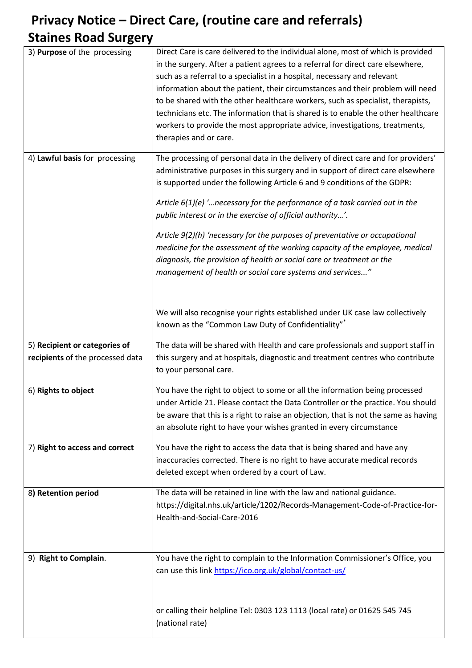## **Privacy Notice – Direct Care, (routine care and referrals) Staines Road Surgery**

| 3) Purpose of the processing                                      | Direct Care is care delivered to the individual alone, most of which is provided<br>in the surgery. After a patient agrees to a referral for direct care elsewhere,<br>such as a referral to a specialist in a hospital, necessary and relevant<br>information about the patient, their circumstances and their problem will need<br>to be shared with the other healthcare workers, such as specialist, therapists,<br>technicians etc. The information that is shared is to enable the other healthcare<br>workers to provide the most appropriate advice, investigations, treatments,<br>therapies and or care.                                                                                    |
|-------------------------------------------------------------------|-------------------------------------------------------------------------------------------------------------------------------------------------------------------------------------------------------------------------------------------------------------------------------------------------------------------------------------------------------------------------------------------------------------------------------------------------------------------------------------------------------------------------------------------------------------------------------------------------------------------------------------------------------------------------------------------------------|
| 4) Lawful basis for processing                                    | The processing of personal data in the delivery of direct care and for providers'<br>administrative purposes in this surgery and in support of direct care elsewhere<br>is supported under the following Article 6 and 9 conditions of the GDPR:<br>Article $6(1)(e)$ " necessary for the performance of a task carried out in the<br>public interest or in the exercise of official authority'.<br>Article 9(2)(h) 'necessary for the purposes of preventative or occupational<br>medicine for the assessment of the working capacity of the employee, medical<br>diagnosis, the provision of health or social care or treatment or the<br>management of health or social care systems and services" |
|                                                                   | We will also recognise your rights established under UK case law collectively<br>known as the "Common Law Duty of Confidentiality"*                                                                                                                                                                                                                                                                                                                                                                                                                                                                                                                                                                   |
| 5) Recipient or categories of<br>recipients of the processed data | The data will be shared with Health and care professionals and support staff in<br>this surgery and at hospitals, diagnostic and treatment centres who contribute                                                                                                                                                                                                                                                                                                                                                                                                                                                                                                                                     |
|                                                                   | to your personal care.                                                                                                                                                                                                                                                                                                                                                                                                                                                                                                                                                                                                                                                                                |
| 6) Rights to object                                               | You have the right to object to some or all the information being processed<br>under Article 21. Please contact the Data Controller or the practice. You should<br>be aware that this is a right to raise an objection, that is not the same as having<br>an absolute right to have your wishes granted in every circumstance                                                                                                                                                                                                                                                                                                                                                                         |
| 7) Right to access and correct                                    | You have the right to access the data that is being shared and have any<br>inaccuracies corrected. There is no right to have accurate medical records<br>deleted except when ordered by a court of Law.                                                                                                                                                                                                                                                                                                                                                                                                                                                                                               |
| 8) Retention period                                               | The data will be retained in line with the law and national guidance.<br>https://digital.nhs.uk/article/1202/Records-Management-Code-of-Practice-for-<br>Health-and-Social-Care-2016                                                                                                                                                                                                                                                                                                                                                                                                                                                                                                                  |
| 9) Right to Complain.                                             | You have the right to complain to the Information Commissioner's Office, you<br>can use this link https://ico.org.uk/global/contact-us/<br>or calling their helpline Tel: 0303 123 1113 (local rate) or 01625 545 745                                                                                                                                                                                                                                                                                                                                                                                                                                                                                 |